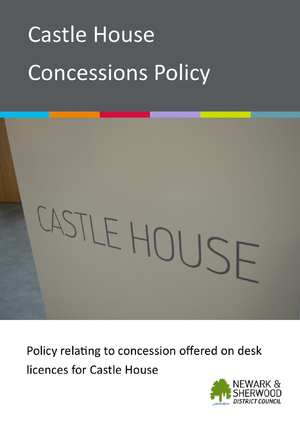# **Castle House Concessions Policy**



Policy relating to concession offered on desk licences for Castle House

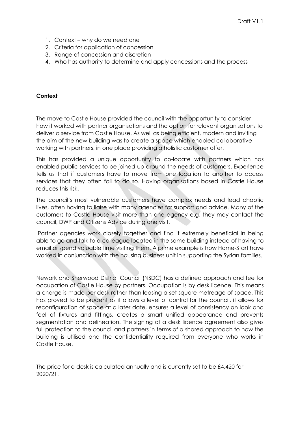- 1. Context why do we need one
- 2. Criteria for application of concession
- 3. Range of concession and discretion
- 4. Who has authority to determine and apply concessions and the process

### **Context**

The move to Castle House provided the council with the opportunity to consider how it worked with partner organisations and the option for relevant organisations to deliver a service from Castle House. As well as being efficient, modern and inviting the aim of the new building was to create a space which enabled collaborative working with partners, in one place providing a holistic customer offer.

This has provided a unique opportunity to co-locate with partners which has enabled public services to be joined-up around the needs of customers. Experience tells us that if customers have to move from one location to another to access services that they often fail to do so. Having organisations based in Castle House reduces this risk.

The council's most vulnerable customers have complex needs and lead chaotic lives, often having to liaise with many agencies for support and advice. Many of the customers to Castle House visit more than one agency e.g. they may contact the council, DWP and Citizens Advice during one visit.

Partner agencies work closely together and find it extremely beneficial in being able to go and talk to a colleague located in the same building instead of having to email or spend valuable time visiting them. A prime example is how Home-Start have worked in conjunction with the housing business unit in supporting the Syrian families.

Newark and Sherwood District Council (NSDC) has a defined approach and fee for occupation of Castle House by partners. Occupation is by desk licence. This means a charge is made per desk rather than leasing a set square metreage of space. This has proved to be prudent as it allows a level of control for the council, it allows for reconfiguration of space at a later date, ensures a level of consistency on look and feel of fixtures and fittings, creates a smart unified appearance and prevents segmentation and delineation. The signing of a desk licence agreement also gives full protection to the council and partners in terms of a shared approach to how the building is utilised and the confidentiality required from everyone who works in Castle House.

The price for a desk is calculated annually and is currently set to be £4,420 for 2020/21.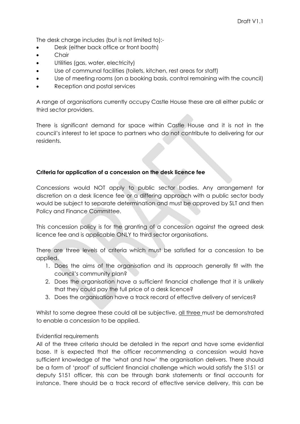The desk charge includes (but is not limited to):-

- Desk (either back office or front booth)
- Chair
- Utilities (gas, water, electricity)
- Use of communal facilities (toilets, kitchen, rest areas for staff)
- Use of meeting rooms (on a booking basis, control remaining with the council)
- Reception and postal services

A range of organisations currently occupy Castle House these are all either public or third sector providers.

There is significant demand for space within Castle House and it is not in the council's interest to let space to partners who do not contribute to delivering for our residents.

# **Criteria for application of a concession on the desk licence fee**

Concessions would NOT apply to public sector bodies. Any arrangement for discretion on a desk licence fee or a differing approach with a public sector body would be subject to separate determination and must be approved by SLT and then Policy and Finance Committee.

This concession policy is for the granting of a concession against the agreed desk licence fee and is applicable ONLY to third sector organisations.

There are three levels of criteria which must be satisfied for a concession to be applied.

- 1. Does the aims of the organisation and its approach generally fit with the council's community plan?
- 2. Does the organisation have a sufficient financial challenge that it is unlikely that they could pay the full price of a desk licence?
- 3. Does the organisation have a track record of effective delivery of services?

Whilst to some degree these could all be subjective, all three must be demonstrated to enable a concession to be applied.

### Evidential requirements

All of the three criteria should be detailed in the report and have some evidential base. It is expected that the officer recommending a concession would have sufficient knowledge of the 'what and how' the organisation delivers. There should be a form of 'proof' of sufficient financial challenge which would satisfy the S151 or deputy S151 officer, this can be through bank statements or final accounts for instance. There should be a track record of effective service delivery, this can be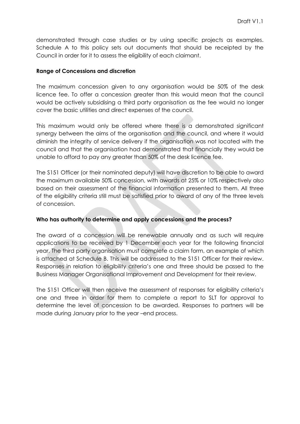demonstrated through case studies or by using specific projects as examples. Schedule A to this policy sets out documents that should be receipted by the Council in order for it to assess the eligibility of each claimant.

#### **Range of Concessions and discretion**

The maximum concession given to any organisation would be 50% of the desk licence fee. To offer a concession greater than this would mean that the council would be actively subsidising a third party organisation as the fee would no longer cover the basic utilities and direct expenses of the council.

This maximum would only be offered where there is a demonstrated significant synergy between the aims of the organisation and the council, and where it would diminish the integrity of service delivery if the organisation was not located with the council and that the organisation had demonstrated that financially they would be unable to afford to pay any greater than 50% of the desk licence fee.

The S151 Officer (or their nominated deputy) will have discretion to be able to award the maximum available 50% concession, with awards at 25% or 10% respectively also based on their assessment of the financial information presented to them. All three of the eligibility criteria still must be satisfied prior to award of any of the three levels of concession.

### **Who has authority to determine and apply concessions and the process?**

The award of a concession will be renewable annually and as such will require applications to be received by 1 December each year for the following financial year. The third party organisation must complete a claim form, an example of which is attached at Schedule B. This will be addressed to the S151 Officer for their review. Responses in relation to eligibility criteria's one and three should be passed to the Business Manager Organisational Improvement and Development for their review.

The S151 Officer will then receive the assessment of responses for eligibility criteria's one and three in order for them to complete a report to SLT for approval to determine the level of concession to be awarded. Responses to partners will be made during January prior to the year –end process.